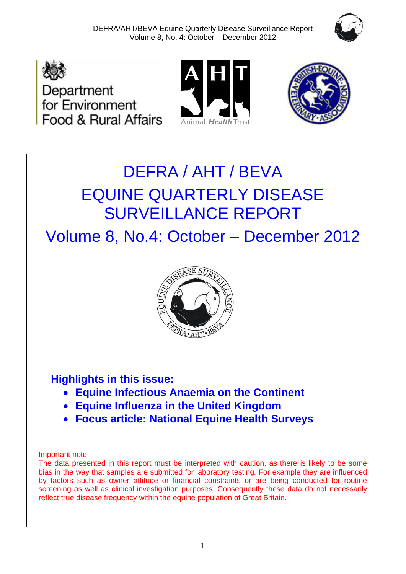







# DEFRA / AHT / BEVA EQUINE QUARTERLY DISEASE SURVEILLANCE REPORT

Volume 8, No.4: October – December 2012



## **Highlights in this issue:**

- **Equine Infectious Anaemia on the Continent**
- **Equine Influenza in the United Kingdom**
- **Focus article: National Equine Health Surveys**

#### Important note:

The data presented in this report must be interpreted with caution, as there is likely to be some bias in the way that samples are submitted for laboratory testing. For example they are influenced by factors such as owner attitude or financial constraints or are being conducted for routine screening as well as clinical investigation purposes. Consequently these data do not necessarily reflect true disease frequency within the equine population of Great Britain.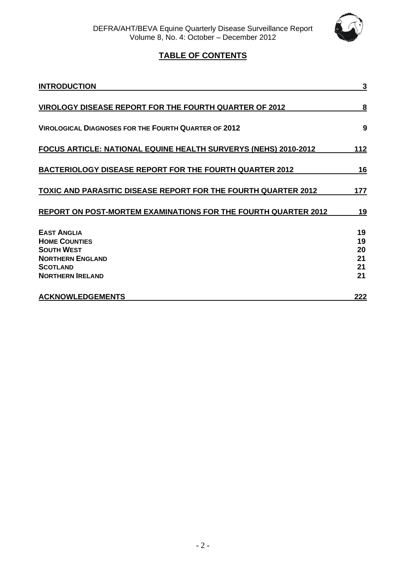

## **TABLE OF CONTENTS**

| <b>INTRODUCTION</b>                                                                                                                      | 3                                |
|------------------------------------------------------------------------------------------------------------------------------------------|----------------------------------|
| VIROLOGY DISEASE REPORT FOR THE FOURTH QUARTER OF 2012                                                                                   | 8                                |
| <b>VIROLOGICAL DIAGNOSES FOR THE FOURTH QUARTER OF 2012</b>                                                                              | 9                                |
| FOCUS ARTICLE: NATIONAL EQUINE HEALTH SURVERYS (NEHS) 2010-2012                                                                          | <u> 112</u>                      |
| <b>BACTERIOLOGY DISEASE REPORT FOR THE FOURTH QUARTER 2012</b>                                                                           | 16                               |
| <b>TOXIC AND PARASITIC DISEASE REPORT FOR THE FOURTH QUARTER 2012</b>                                                                    | 177                              |
| REPORT ON POST-MORTEM EXAMINATIONS FOR THE FOURTH QUARTER 2012                                                                           | <u>19</u>                        |
| <b>EAST ANGLIA</b><br><b>HOME COUNTIES</b><br><b>SOUTH WEST</b><br><b>NORTHERN ENGLAND</b><br><b>SCOTLAND</b><br><b>NORTHERN IRELAND</b> | 19<br>19<br>20<br>21<br>21<br>21 |
| <b>ACKNOWLEDGEMENTS</b>                                                                                                                  | 222                              |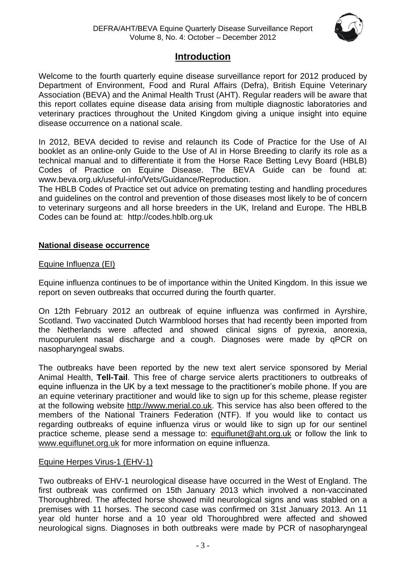

## **Introduction**

Welcome to the fourth quarterly equine disease surveillance report for 2012 produced by Department of Environment, Food and Rural Affairs (Defra), British Equine Veterinary Association (BEVA) and the Animal Health Trust (AHT). Regular readers will be aware that this report collates equine disease data arising from multiple diagnostic laboratories and veterinary practices throughout the United Kingdom giving a unique insight into equine disease occurrence on a national scale.

In 2012, BEVA decided to revise and relaunch its Code of Practice for the Use of AI booklet as an online-only Guide to the Use of AI in Horse Breeding to clarify its role as a technical manual and to differentiate it from the Horse Race Betting Levy Board (HBLB) Codes of Practice on Equine Disease. The BEVA Guide can be found at: www.beva.org.uk/useful-info/Vets/Guidance/Reproduction.

The HBLB Codes of Practice set out advice on premating testing and handling procedures and guidelines on the control and prevention of those diseases most likely to be of concern to veterinary surgeons and all horse breeders in the UK, Ireland and Europe. The HBLB Codes can be found at: http://codes.hblb.org.uk

#### **National disease occurrence**

#### Equine Influenza (EI)

Equine influenza continues to be of importance within the United Kingdom. In this issue we report on seven outbreaks that occurred during the fourth quarter.

On 12th February 2012 an outbreak of equine influenza was confirmed in Ayrshire, Scotland. Two vaccinated Dutch Warmblood horses that had recently been imported from the Netherlands were affected and showed clinical signs of pyrexia, anorexia, mucopurulent nasal discharge and a cough. Diagnoses were made by qPCR on nasopharyngeal swabs.

The outbreaks have been reported by the new text alert service sponsored by Merial Animal Health, **Tell-Tail**. This free of charge service alerts practitioners to outbreaks of equine influenza in the UK by a text message to the practitioner's mobile phone. If you are an equine veterinary practitioner and would like to sign up for this scheme, please register at the following website [http://www.merial.co.uk.](http://www.merial.co.uk/) This service has also been offered to the members of the National Trainers Federation (NTF). If you would like to contact us regarding outbreaks of equine influenza virus or would like to sign up for our sentinel practice scheme, please send a message to: [equiflunet@aht.org.uk](mailto:equiflunet@aht.org.uk) or follow the link to [www.equiflunet.org.uk](http://www.equiflunet.org.uk/) for more information on equine influenza.

#### Equine Herpes Virus-1 (EHV-1)

Two outbreaks of EHV-1 neurological disease have occurred in the West of England. The first outbreak was confirmed on 15th January 2013 which involved a non-vaccinated Thoroughbred. The affected horse showed mild neurological signs and was stabled on a premises with 11 horses. The second case was confirmed on 31st January 2013. An 11 year old hunter horse and a 10 year old Thoroughbred were affected and showed neurological signs. Diagnoses in both outbreaks were made by PCR of nasopharyngeal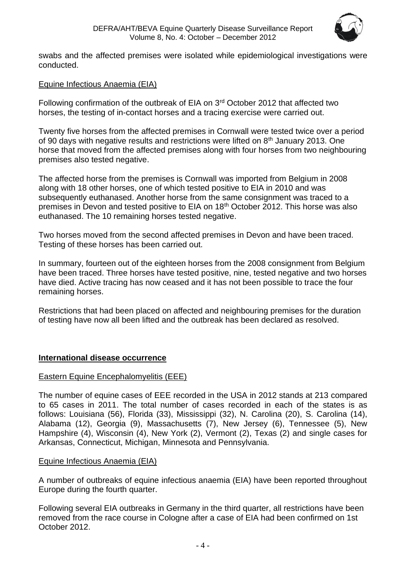

swabs and the affected premises were isolated while epidemiological investigations were conducted.

#### Equine Infectious Anaemia (EIA)

Following confirmation of the outbreak of EIA on 3rd October 2012 that affected two horses, the testing of in-contact horses and a tracing exercise were carried out.

Twenty five horses from the affected premises in Cornwall were tested twice over a period of 90 days with negative results and restrictions were lifted on 8<sup>th</sup> January 2013. One horse that moved from the affected premises along with four horses from two neighbouring premises also tested negative.

The affected horse from the premises is Cornwall was imported from Belgium in 2008 along with 18 other horses, one of which tested positive to EIA in 2010 and was subsequently euthanased. Another horse from the same consignment was traced to a premises in Devon and tested positive to EIA on 18th October 2012. This horse was also euthanased. The 10 remaining horses tested negative.

Two horses moved from the second affected premises in Devon and have been traced. Testing of these horses has been carried out.

In summary, fourteen out of the eighteen horses from the 2008 consignment from Belgium have been traced. Three horses have tested positive, nine, tested negative and two horses have died. Active tracing has now ceased and it has not been possible to trace the four remaining horses.

Restrictions that had been placed on affected and neighbouring premises for the duration of testing have now all been lifted and the outbreak has been declared as resolved.

#### **International disease occurrence**

#### Eastern Equine Encephalomyelitis (EEE)

The number of equine cases of EEE recorded in the USA in 2012 stands at 213 compared to 65 cases in 2011. The total number of cases recorded in each of the states is as follows: Louisiana (56), Florida (33), Mississippi (32), N. Carolina (20), S. Carolina (14), Alabama (12), Georgia (9), Massachusetts (7), New Jersey (6), Tennessee (5), New Hampshire (4), Wisconsin (4), New York (2), Vermont (2), Texas (2) and single cases for Arkansas, Connecticut, Michigan, Minnesota and Pennsylvania.

#### Equine Infectious Anaemia (EIA)

A number of outbreaks of equine infectious anaemia (EIA) have been reported throughout Europe during the fourth quarter.

Following several EIA outbreaks in Germany in the third quarter, all restrictions have been removed from the race course in Cologne after a case of EIA had been confirmed on 1st October 2012.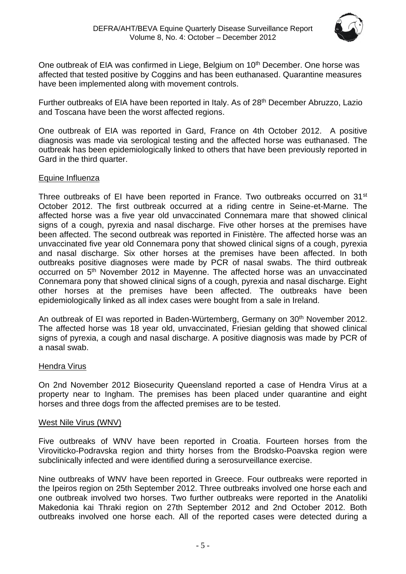

One outbreak of EIA was confirmed in Liege, Belgium on 10<sup>th</sup> December. One horse was affected that tested positive by Coggins and has been euthanased. Quarantine measures have been implemented along with movement controls.

Further outbreaks of EIA have been reported in Italy. As of 28<sup>th</sup> December Abruzzo, Lazio and Toscana have been the worst affected regions.

One outbreak of EIA was reported in Gard, France on 4th October 2012. A positive diagnosis was made via serological testing and the affected horse was euthanased. The outbreak has been epidemiologically linked to others that have been previously reported in Gard in the third quarter.

#### Equine Influenza

Three outbreaks of EI have been reported in France. Two outbreaks occurred on  $31<sup>st</sup>$ October 2012. The first outbreak occurred at a riding centre in Seine-et-Marne. The affected horse was a five year old unvaccinated Connemara mare that showed clinical signs of a cough, pyrexia and nasal discharge. Five other horses at the premises have been affected. The second outbreak was reported in Finistère. The affected horse was an unvaccinated five year old Connemara pony that showed clinical signs of a cough, pyrexia and nasal discharge. Six other horses at the premises have been affected. In both outbreaks positive diagnoses were made by PCR of nasal swabs. The third outbreak occurred on 5th November 2012 in Mayenne. The affected horse was an unvaccinated Connemara pony that showed clinical signs of a cough, pyrexia and nasal discharge. Eight other horses at the premises have been affected. The outbreaks have been epidemiologically linked as all index cases were bought from a sale in Ireland.

An outbreak of EI was reported in Baden-Würtemberg, Germany on 30<sup>th</sup> November 2012. The affected horse was 18 year old, unvaccinated, Friesian gelding that showed clinical signs of pyrexia, a cough and nasal discharge. A positive diagnosis was made by PCR of a nasal swab.

#### Hendra Virus

On 2nd November 2012 Biosecurity Queensland reported a case of Hendra Virus at a property near to Ingham. The premises has been placed under quarantine and eight horses and three dogs from the affected premises are to be tested.

#### West Nile Virus (WNV)

Five outbreaks of WNV have been reported in Croatia. Fourteen horses from the Viroviticko-Podravska region and thirty horses from the Brodsko-Poavska region were subclinically infected and were identified during a serosurveillance exercise.

Nine outbreaks of WNV have been reported in Greece. Four outbreaks were reported in the Ipeiros region on 25th September 2012. Three outbreaks involved one horse each and one outbreak involved two horses. Two further outbreaks were reported in the Anatoliki Makedonia kai Thraki region on 27th September 2012 and 2nd October 2012. Both outbreaks involved one horse each. All of the reported cases were detected during a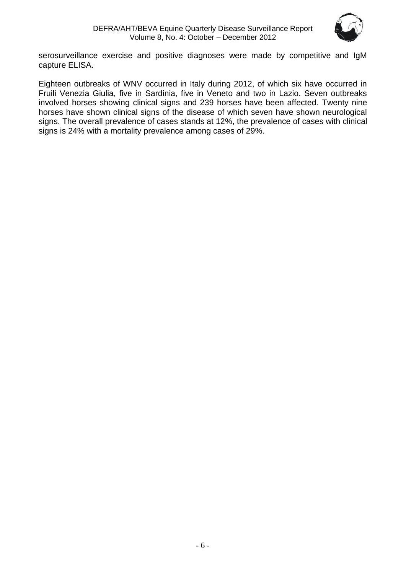

serosurveillance exercise and positive diagnoses were made by competitive and IgM capture ELISA.

Eighteen outbreaks of WNV occurred in Italy during 2012, of which six have occurred in Fruili Venezia Giulia, five in Sardinia, five in Veneto and two in Lazio. Seven outbreaks involved horses showing clinical signs and 239 horses have been affected. Twenty nine horses have shown clinical signs of the disease of which seven have shown neurological signs. The overall prevalence of cases stands at 12%, the prevalence of cases with clinical signs is 24% with a mortality prevalence among cases of 29%.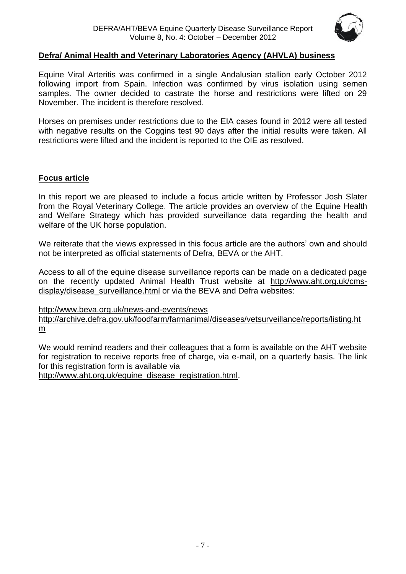

#### **Defra/ Animal Health and Veterinary Laboratories Agency (AHVLA) business**

Equine Viral Arteritis was confirmed in a single Andalusian stallion early October 2012 following import from Spain. Infection was confirmed by virus isolation using semen samples. The owner decided to castrate the horse and restrictions were lifted on 29 November. The incident is therefore resolved.

Horses on premises under restrictions due to the EIA cases found in 2012 were all tested with negative results on the Coggins test 90 days after the initial results were taken. All restrictions were lifted and the incident is reported to the OIE as resolved.

#### **Focus article**

In this report we are pleased to include a focus article written by Professor Josh Slater from the Royal Veterinary College. The article provides an overview of the Equine Health and Welfare Strategy which has provided surveillance data regarding the health and welfare of the UK horse population.

We reiterate that the views expressed in this focus article are the authors' own and should not be interpreted as official statements of Defra, BEVA or the AHT.

Access to all of the equine disease surveillance reports can be made on a dedicated page on the recently updated Animal Health Trust website at [http://www.aht.org.uk/cms](http://www.aht.org.uk/cms-display/disease_surveillance.html)[display/disease\\_surveillance.html](http://www.aht.org.uk/cms-display/disease_surveillance.html) or via the BEVA and Defra websites:

<http://www.beva.org.uk/news-and-events/news>

[http://archive.defra.gov.uk/foodfarm/farmanimal/diseases/vetsurveillance/reports/listing.ht](http://archive.defra.gov.uk/foodfarm/farmanimal/diseases/vetsurveillance/reports/listing.htm) [m](http://archive.defra.gov.uk/foodfarm/farmanimal/diseases/vetsurveillance/reports/listing.htm)

We would remind readers and their colleagues that a form is available on the AHT website for registration to receive reports free of charge, via e-mail, on a quarterly basis. The link for this registration form is available via

[http://www.aht.org.uk/equine\\_disease\\_registration.html.](http://www.aht.org.uk/equine_disease_registration.html)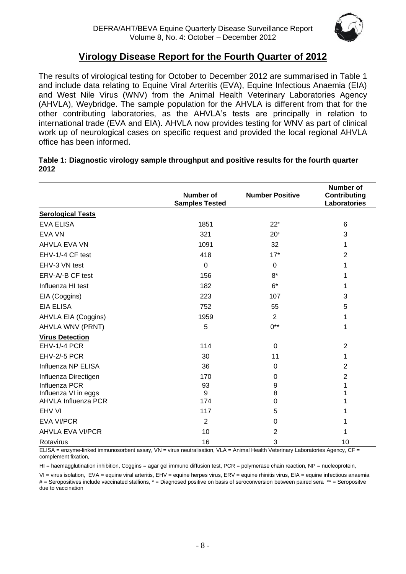

## **Virology Disease Report for the Fourth Quarter of 2012**

The results of virological testing for October to December 2012 are summarised in Table 1 and include data relating to Equine Viral Arteritis (EVA), Equine Infectious Anaemia (EIA) and West Nile Virus (WNV) from the Animal Health Veterinary Laboratories Agency (AHVLA), Weybridge. The sample population for the AHVLA is different from that for the other contributing laboratories, as the AHVLA's tests are principally in relation to international trade (EVA and EIA). AHVLA now provides testing for WNV as part of clinical work up of neurological cases on specific request and provided the local regional AHVLA office has been informed.

| Table 1: Diagnostic virology sample throughput and positive results for the fourth quarter |  |
|--------------------------------------------------------------------------------------------|--|
| 2012                                                                                       |  |

|                            | Number of             | <b>Number Positive</b> | <b>Number of</b><br><b>Contributing</b> |
|----------------------------|-----------------------|------------------------|-----------------------------------------|
|                            | <b>Samples Tested</b> |                        | Laboratories                            |
| <b>Serological Tests</b>   |                       |                        |                                         |
| <b>EVA ELISA</b>           | 1851                  | $22*$                  | 6                                       |
| <b>EVA VN</b>              | 321                   | $20*$                  | 3                                       |
| AHVLA EVA VN               | 1091                  | 32                     | 1                                       |
| EHV-1/-4 CF test           | 418                   | $17*$                  | $\overline{2}$                          |
| EHV-3 VN test              | $\Omega$              | $\mathbf 0$            |                                         |
| ERV-A/-B CF test           | 156                   | $8*$                   |                                         |
| Influenza HI test          | 182                   | $6*$                   |                                         |
| EIA (Coggins)              | 223                   | 107                    | 3                                       |
| <b>EIA ELISA</b>           | 752                   | 55                     | 5                                       |
| AHVLA EIA (Coggins)        | 1959                  | $\overline{2}$         | 1                                       |
| AHVLA WNV (PRNT)           | 5                     | $0^{**}$               | 1                                       |
| <b>Virus Detection</b>     |                       |                        |                                         |
| EHV-1/-4 PCR               | 114                   | 0                      | $\overline{2}$                          |
| <b>EHV-2/-5 PCR</b>        | 30                    | 11                     | 1                                       |
| Influenza NP ELISA         | 36                    | 0                      | $\overline{2}$                          |
| Influenza Directigen       | 170                   | 0                      | $\overline{2}$                          |
| Influenza PCR              | 93                    | 9                      | 1                                       |
| Influenza VI in eggs       | 9                     | 8                      |                                         |
| <b>AHVLA Influenza PCR</b> | 174                   | 0                      |                                         |
| EHV VI                     | 117                   | 5                      |                                         |
| <b>EVA VI/PCR</b>          | $\overline{2}$        | 0                      |                                         |
| <b>AHVLA EVA VI/PCR</b>    | 10                    | $\overline{2}$         |                                         |
| Rotavirus                  | 16                    | 3                      | 10                                      |

ELISA = enzyme-linked immunosorbent assay, VN = virus neutralisation, VLA = Animal Health Veterinary Laboratories Agency, CF = complement fixation,

HI = haemagglutination inhibition, Coggins = agar gel immuno diffusion test, PCR = polymerase chain reaction, NP = nucleoprotein,

VI = virus isolation, EVA = equine viral arteritis, EHV = equine herpes virus, ERV = equine rhinitis virus, EIA = equine infectious anaemia # = Seropositives include vaccinated stallions, \* = Diagnosed positive on basis of seroconversion between paired sera \*\* = Seropositve due to vaccination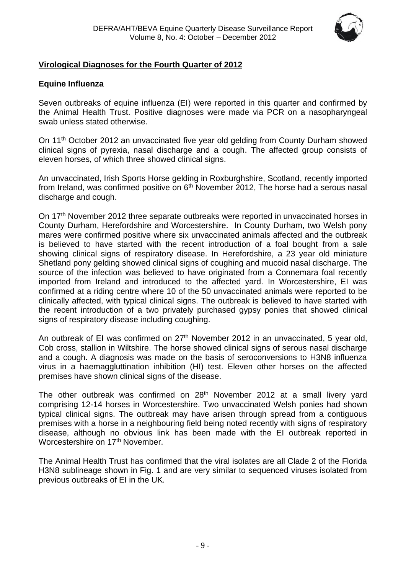

#### <span id="page-8-0"></span>**Virological Diagnoses for the Fourth Quarter of 2012**

#### **Equine Influenza**

Seven outbreaks of equine influenza (EI) were reported in this quarter and confirmed by the Animal Health Trust. Positive diagnoses were made via PCR on a nasopharyngeal swab unless stated otherwise.

On 11<sup>th</sup> October 2012 an unvaccinated five year old gelding from County Durham showed clinical signs of pyrexia, nasal discharge and a cough. The affected group consists of eleven horses, of which three showed clinical signs.

An unvaccinated, Irish Sports Horse gelding in Roxburghshire, Scotland, recently imported from Ireland, was confirmed positive on  $6<sup>th</sup>$  November 2012, The horse had a serous nasal discharge and cough.

On 17<sup>th</sup> November 2012 three separate outbreaks were reported in unvaccinated horses in County Durham, Herefordshire and Worcestershire. In County Durham, two Welsh pony mares were confirmed positive where six unvaccinated animals affected and the outbreak is believed to have started with the recent introduction of a foal bought from a sale showing clinical signs of respiratory disease. In Herefordshire, a 23 year old miniature Shetland pony gelding showed clinical signs of coughing and mucoid nasal discharge. The source of the infection was believed to have originated from a Connemara foal recently imported from Ireland and introduced to the affected yard. In Worcestershire, EI was confirmed at a riding centre where 10 of the 50 unvaccinated animals were reported to be clinically affected, with typical clinical signs. The outbreak is believed to have started with the recent introduction of a two privately purchased gypsy ponies that showed clinical signs of respiratory disease including coughing.

An outbreak of EI was confirmed on 27<sup>th</sup> November 2012 in an unvaccinated, 5 year old, Cob cross, stallion in Wiltshire. The horse showed clinical signs of serous nasal discharge and a cough. A diagnosis was made on the basis of seroconversions to H3N8 influenza virus in a haemaggluttination inhibition (HI) test. Eleven other horses on the affected premises have shown clinical signs of the disease.

The other outbreak was confirmed on 28<sup>th</sup> November 2012 at a small livery yard comprising 12-14 horses in Worcestershire. Two unvaccinated Welsh ponies had shown typical clinical signs. The outbreak may have arisen through spread from a contiguous premises with a horse in a neighbouring field being noted recently with signs of respiratory disease, although no obvious link has been made with the EI outbreak reported in Worcestershire on 17<sup>th</sup> November.

The Animal Health Trust has confirmed that the viral isolates are all Clade 2 of the Florida H3N8 sublineage shown in Fig. 1 and are very similar to sequenced viruses isolated from previous outbreaks of EI in the UK.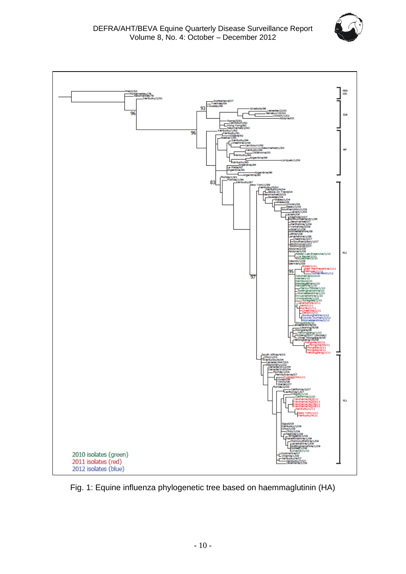



Fig. 1: Equine influenza phylogenetic tree based on haemmaglutinin (HA)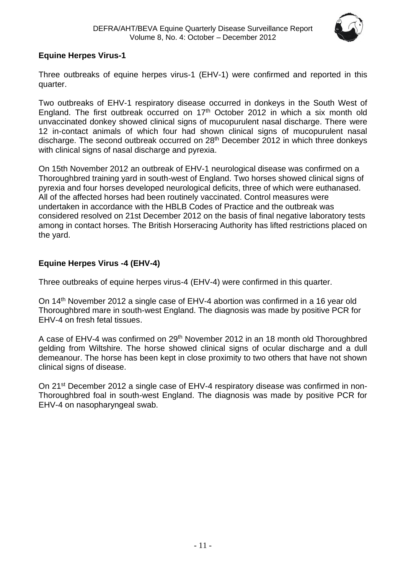

#### **Equine Herpes Virus-1**

Three outbreaks of equine herpes virus-1 (EHV-1) were confirmed and reported in this quarter.

Two outbreaks of EHV-1 respiratory disease occurred in donkeys in the South West of England. The first outbreak occurred on  $17<sup>th</sup>$  October 2012 in which a six month old unvaccinated donkey showed clinical signs of mucopurulent nasal discharge. There were 12 in-contact animals of which four had shown clinical signs of mucopurulent nasal discharge. The second outbreak occurred on 28th December 2012 in which three donkeys with clinical signs of nasal discharge and pyrexia.

On 15th November 2012 an outbreak of EHV-1 neurological disease was confirmed on a Thoroughbred training yard in south-west of England. Two horses showed clinical signs of pyrexia and four horses developed neurological deficits, three of which were euthanased. All of the affected horses had been routinely vaccinated. Control measures were undertaken in accordance with the HBLB Codes of Practice and the outbreak was considered resolved on 21st December 2012 on the basis of final negative laboratory tests among in contact horses. The British Horseracing Authority has lifted restrictions placed on the yard.

#### <span id="page-10-0"></span>**Equine Herpes Virus -4 (EHV-4)**

Three outbreaks of equine herpes virus-4 (EHV-4) were confirmed in this quarter.

On 14th November 2012 a single case of EHV-4 abortion was confirmed in a 16 year old Thoroughbred mare in south-west England. The diagnosis was made by positive PCR for EHV-4 on fresh fetal tissues.

A case of EHV-4 was confirmed on 29<sup>th</sup> November 2012 in an 18 month old Thoroughbred gelding from Wiltshire. The horse showed clinical signs of ocular discharge and a dull demeanour. The horse has been kept in close proximity to two others that have not shown clinical signs of disease.

On 21<sup>st</sup> December 2012 a single case of EHV-4 respiratory disease was confirmed in non-Thoroughbred foal in south-west England. The diagnosis was made by positive PCR for EHV-4 on nasopharyngeal swab.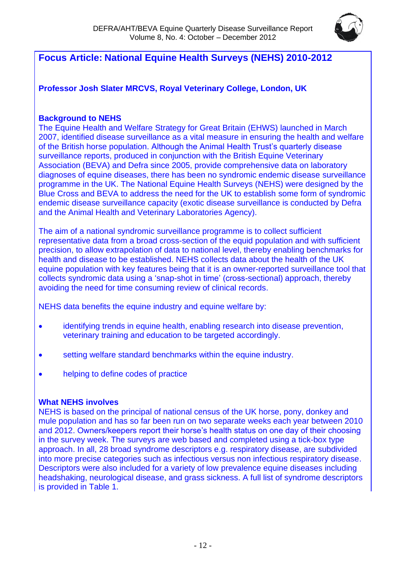

## **Focus Article: National Equine Health Surveys (NEHS) 2010-2012**

**Professor Josh Slater MRCVS, Royal Veterinary College, London, UK** 

#### **Background to NEHS**

The Equine Health and Welfare Strategy for Great Britain (EHWS) launched in March 2007, identified disease surveillance as a vital measure in ensuring the health and welfare of the British horse population. Although the Animal Health Trust's quarterly disease surveillance reports, produced in conjunction with the British Equine Veterinary Association (BEVA) and Defra since 2005, provide comprehensive data on laboratory diagnoses of equine diseases, there has been no syndromic endemic disease surveillance programme in the UK. The National Equine Health Surveys (NEHS) were designed by the Blue Cross and BEVA to address the need for the UK to establish some form of syndromic endemic disease surveillance capacity (exotic disease surveillance is conducted by Defra and the Animal Health and Veterinary Laboratories Agency).

The aim of a national syndromic surveillance programme is to collect sufficient representative data from a broad cross-section of the equid population and with sufficient precision, to allow extrapolation of data to national level, thereby enabling benchmarks for health and disease to be established. NEHS collects data about the health of the UK equine population with key features being that it is an owner-reported surveillance tool that collects syndromic data using a 'snap-shot in time' (cross-sectional) approach, thereby avoiding the need for time consuming review of clinical records.

NEHS data benefits the equine industry and equine welfare by:

- identifying trends in equine health, enabling research into disease prevention, veterinary training and education to be targeted accordingly.
- setting welfare standard benchmarks within the equine industry.
- helping to define codes of practice

#### **What NEHS involves**

NEHS is based on the principal of national census of the UK horse, pony, donkey and mule population and has so far been run on two separate weeks each year between 2010 and 2012. Owners/keepers report their horse's health status on one day of their choosing in the survey week. The surveys are web based and completed using a tick-box type approach. In all, 28 broad syndrome descriptors e.g. respiratory disease, are subdivided into more precise categories such as infectious versus non infectious respiratory disease. Descriptors were also included for a variety of low prevalence equine diseases including headshaking, neurological disease, and grass sickness. A full list of syndrome descriptors is provided in Table 1.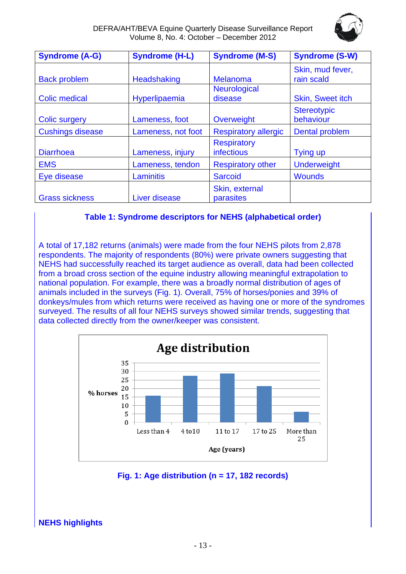

DEFRA/AHT/BEVA Equine Quarterly Disease Surveillance Report Volume 8, No. 4: October – December 2012

| <b>Syndrome (A-G)</b>   | <b>Syndrome (H-L)</b> | <b>Syndrome (M-S)</b>            | <b>Syndrome (S-W)</b>           |
|-------------------------|-----------------------|----------------------------------|---------------------------------|
| <b>Back problem</b>     | <b>Headshaking</b>    | <b>Melanoma</b>                  | Skin, mud fever,<br>rain scald  |
| <b>Colic medical</b>    | Hyperlipaemia         | <b>Neurological</b><br>disease   | <b>Skin, Sweet itch</b>         |
| <b>Colic surgery</b>    | Lameness, foot        | Overweight                       | <b>Stereotypic</b><br>behaviour |
| <b>Cushings disease</b> | Lameness, not foot    | <b>Respiratory allergic</b>      | <b>Dental problem</b>           |
| <b>Diarrhoea</b>        | Lameness, injury      | <b>Respiratory</b><br>infectious | Tying up                        |
| <b>EMS</b>              | Lameness, tendon      | <b>Respiratory other</b>         | <b>Underweight</b>              |
| Eye disease             | Laminitis             | <b>Sarcoid</b>                   | <b>Wounds</b>                   |
| <b>Grass sickness</b>   | Liver disease         | Skin, external<br>parasites      |                                 |

#### **Table 1: Syndrome descriptors for NEHS (alphabetical order)**

A total of 17,182 returns (animals) were made from the four NEHS pilots from 2,878 respondents. The majority of respondents (80%) were private owners suggesting that NEHS had successfully reached its target audience as overall, data had been collected from a broad cross section of the equine industry allowing meaningful extrapolation to national population. For example, there was a broadly normal distribution of ages of animals included in the surveys (Fig. 1). Overall, 75% of horses/ponies and 39% of donkeys/mules from which returns were received as having one or more of the syndromes surveyed. The results of all four NEHS surveys showed similar trends, suggesting that data collected directly from the owner/keeper was consistent.



#### **Fig. 1: Age distribution (n = 17, 182 records)**

**NEHS highlights**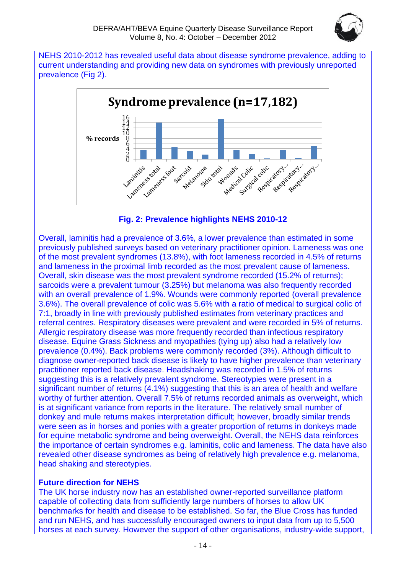

NEHS 2010-2012 has revealed useful data about disease syndrome prevalence, adding to current understanding and providing new data on syndromes with previously unreported prevalence (Fig 2).





Overall, laminitis had a prevalence of 3.6%, a lower prevalence than estimated in some previously published surveys based on veterinary practitioner opinion. Lameness was one of the most prevalent syndromes (13.8%), with foot lameness recorded in 4.5% of returns and lameness in the proximal limb recorded as the most prevalent cause of lameness. Overall, skin disease was the most prevalent syndrome recorded (15.2% of returns); sarcoids were a prevalent tumour (3.25%) but melanoma was also frequently recorded with an overall prevalence of 1.9%. Wounds were commonly reported (overall prevalence 3.6%). The overall prevalence of colic was 5.6% with a ratio of medical to surgical colic of 7:1, broadly in line with previously published estimates from veterinary practices and referral centres. Respiratory diseases were prevalent and were recorded in 5% of returns. Allergic respiratory disease was more frequently recorded than infectious respiratory disease. Equine Grass Sickness and myopathies (tying up) also had a relatively low prevalence (0.4%). Back problems were commonly recorded (3%). Although difficult to diagnose owner-reported back disease is likely to have higher prevalence than veterinary practitioner reported back disease. Headshaking was recorded in 1.5% of returns suggesting this is a relatively prevalent syndrome. Stereotypies were present in a significant number of returns (4.1%) suggesting that this is an area of health and welfare worthy of further attention. Overall 7.5% of returns recorded animals as overweight, which is at significant variance from reports in the literature. The relatively small number of donkey and mule returns makes interpretation difficult; however, broadly similar trends were seen as in horses and ponies with a greater proportion of returns in donkeys made for equine metabolic syndrome and being overweight. Overall, the NEHS data reinforces the importance of certain syndromes e.g. laminitis, colic and lameness. The data have also revealed other disease syndromes as being of relatively high prevalence e.g. melanoma, head shaking and stereotypies.

#### **Future direction for NEHS**

The UK horse industry now has an established owner-reported surveillance platform capable of collecting data from sufficiently large numbers of horses to allow UK benchmarks for health and disease to be established. So far, the Blue Cross has funded and run NEHS, and has successfully encouraged owners to input data from up to 5,500 horses at each survey. However the support of other organisations, industry-wide support,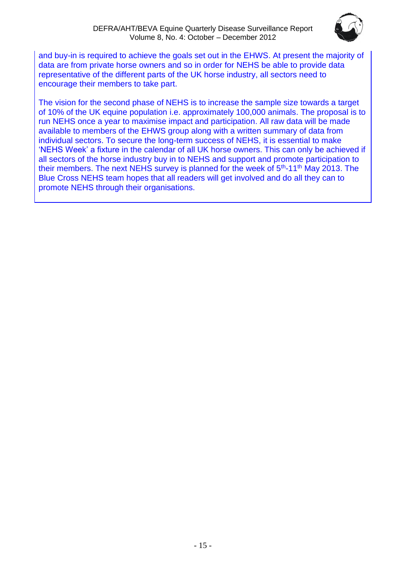

and buy-in is required to achieve the goals set out in the EHWS. At present the majority of data are from private horse owners and so in order for NEHS be able to provide data representative of the different parts of the UK horse industry, all sectors need to encourage their members to take part.

The vision for the second phase of NEHS is to increase the sample size towards a target of 10% of the UK equine population i.e. approximately 100,000 animals. The proposal is to run NEHS once a year to maximise impact and participation. All raw data will be made available to members of the EHWS group along with a written summary of data from individual sectors. To secure the long-term success of NEHS, it is essential to make 'NEHS Week' a fixture in the calendar of all UK horse owners. This can only be achieved if all sectors of the horse industry buy in to NEHS and support and promote participation to their members. The next NEHS survey is planned for the week of 5<sup>th</sup>-11<sup>th</sup> May 2013. The Blue Cross NEHS team hopes that all readers will get involved and do all they can to promote NEHS through their organisations.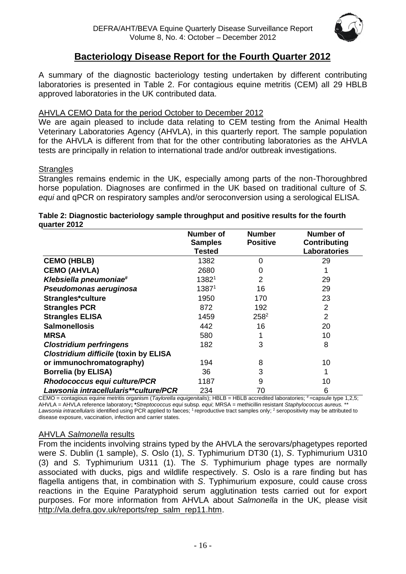

## **Bacteriology Disease Report for the Fourth Quarter 2012**

A summary of the diagnostic bacteriology testing undertaken by different contributing laboratories is presented in Table 2. For contagious equine metritis (CEM) all 29 HBLB approved laboratories in the UK contributed data.

#### AHVLA CEMO Data for the period October to December 2012

We are again pleased to include data relating to CEM testing from the Animal Health Veterinary Laboratories Agency (AHVLA), in this quarterly report. The sample population for the AHVLA is different from that for the other contributing laboratories as the AHVLA tests are principally in relation to international trade and/or outbreak investigations.

#### **Strangles**

Strangles remains endemic in the UK, especially among parts of the non-Thoroughbred horse population. Diagnoses are confirmed in the UK based on traditional culture of *S. equi* and qPCR on respiratory samples and/or seroconversion using a serological ELISA.

#### **Table 2: Diagnostic bacteriology sample throughput and positive results for the fourth quarter 2012**

|                                              | <b>Number of</b>  | <b>Number</b>   | <b>Number of</b>    |
|----------------------------------------------|-------------------|-----------------|---------------------|
|                                              | <b>Samples</b>    | <b>Positive</b> | Contributing        |
|                                              | Tested            |                 | <b>Laboratories</b> |
| <b>CEMO (HBLB)</b>                           | 1382              | $\Omega$        | 29                  |
| <b>CEMO (AHVLA)</b>                          | 2680              | 0               |                     |
| Klebsiella pneumoniae#                       | 13821             | $\overline{2}$  | 29                  |
| Pseudomonas aeruginosa                       | 1387 <sup>1</sup> | 16              | 29                  |
| Strangles*culture                            | 1950              | 170             | 23                  |
| <b>Strangles PCR</b>                         | 872               | 192             | $\overline{2}$      |
| <b>Strangles ELISA</b>                       | 1459              | $258^2$         | $\overline{2}$      |
| <b>Salmonellosis</b>                         | 442               | 16              | 20                  |
| <b>MRSA</b>                                  | 580               |                 | 10                  |
| <b>Clostridium perfringens</b>               | 182               | 3               | 8                   |
| <b>Clostridium difficile (toxin by ELISA</b> |                   |                 |                     |
| or immunochromatography)                     | 194               | 8               | 10                  |
| <b>Borrelia (by ELISA)</b>                   | 36                | 3               |                     |
| <b>Rhodococcus equi culture/PCR</b>          | 1187              | 9               | 10                  |
| Lawsonia intracellularis**culture/PCR        | 234               | 70              | 6                   |

CEMO = contagious equine metritis organism (*Taylorella equigenitalis*); HBLB = HBLB accredited laboratories; # = capsule type 1,2,5; AHVLA = AHVLA reference laboratory**; \****Streptococcus equi* subsp*. equi*; MRSA = methicillin resistant *Staphylococcus aureus.* \*\* Lawsonia intracellularis identified using PCR applied to faeces; <sup>1</sup> reproductive tract samples only; <sup>2</sup> seropositivity may be attributed to disease exposure, vaccination, infection and carrier states.

#### AHVLA *Salmonella* results

From the incidents involving strains typed by the AHVLA the serovars/phagetypes reported were *S*. Dublin (1 sample), *S*. Oslo (1), *S*. Typhimurium DT30 (1), *S*. Typhimurium U310 (3) and *S.* Typhimurium U311 (1). The *S*. Typhimurium phage types are normally associated with ducks, pigs and wildlife respectively. *S*. Oslo is a rare finding but has flagella antigens that, in combination with *S*. Typhimurium exposure, could cause cross reactions in the Equine Paratyphoid serum agglutination tests carried out for export purposes. For more information from AHVLA about *Salmonella* in the UK, please visit [http://vla.defra.gov.uk/reports/rep\\_salm\\_rep11.htm.](http://vla.defra.gov.uk/reports/rep_salm_rep11.htm)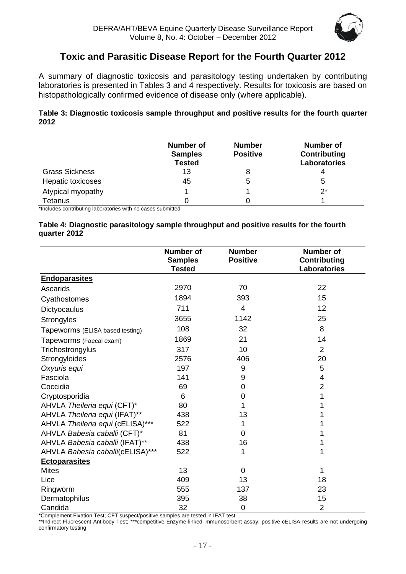

## **Toxic and Parasitic Disease Report for the Fourth Quarter 2012**

<span id="page-16-0"></span>A summary of diagnostic toxicosis and parasitology testing undertaken by contributing laboratories is presented in Tables 3 and 4 respectively. Results for toxicosis are based on histopathologically confirmed evidence of disease only (where applicable).

#### **Table 3: Diagnostic toxicosis sample throughput and positive results for the fourth quarter 2012**

|                       | <b>Number of</b><br><b>Samples</b><br><b>Tested</b> | <b>Number</b><br><b>Positive</b> | <b>Number of</b><br>Contributing<br><b>Laboratories</b> |
|-----------------------|-----------------------------------------------------|----------------------------------|---------------------------------------------------------|
| <b>Grass Sickness</b> | 13                                                  |                                  |                                                         |
| Hepatic toxicoses     | 45                                                  | 5                                | 5                                                       |
| Atypical myopathy     |                                                     |                                  | $2^*$                                                   |
| Tetanus               |                                                     |                                  |                                                         |

\*Includes contributing laboratories with no cases submitted

#### **Table 4: Diagnostic parasitology sample throughput and positive results for the fourth quarter 2012**

|                                  | <b>Number of</b><br><b>Samples</b><br><b>Tested</b> | <b>Number</b><br><b>Positive</b> | <b>Number of</b><br><b>Contributing</b><br><b>Laboratories</b> |
|----------------------------------|-----------------------------------------------------|----------------------------------|----------------------------------------------------------------|
| <b>Endoparasites</b>             |                                                     |                                  |                                                                |
| Ascarids                         | 2970                                                | 70                               | 22                                                             |
| Cyathostomes                     | 1894                                                | 393                              | 15                                                             |
| Dictyocaulus                     | 711                                                 | 4                                | 12                                                             |
| Strongyles                       | 3655                                                | 1142                             | 25                                                             |
| Tapeworms (ELISA based testing)  | 108                                                 | 32                               | 8                                                              |
| Tapeworms (Faecal exam)          | 1869                                                | 21                               | 14                                                             |
| Trichostrongylus                 | 317                                                 | 10                               | 2                                                              |
| Strongyloides                    | 2576                                                | 406                              | 20                                                             |
| Oxyuris equi                     | 197                                                 | 9                                | 5                                                              |
| Fasciola                         | 141                                                 | 9                                | 4                                                              |
| Coccidia                         | 69                                                  | 0                                | $\overline{2}$                                                 |
| Cryptosporidia                   | 6                                                   | 0                                | 1                                                              |
| AHVLA Theileria equi (CFT)*      | 80                                                  | 1                                |                                                                |
| AHVLA Theileria equi (IFAT)**    | 438                                                 | 13                               |                                                                |
| AHVLA Theileria equi (cELISA)*** | 522                                                 | 1                                |                                                                |
| AHVLA Babesia caballi (CFT)*     | 81                                                  | 0                                |                                                                |
| AHVLA Babesia caballi (IFAT)**   | 438                                                 | 16                               |                                                                |
| AHVLA Babesia caballi(cELISA)*** | 522                                                 | 1                                | 1                                                              |
| <b>Ectoparasites</b>             |                                                     |                                  |                                                                |
| <b>Mites</b>                     | 13                                                  | 0                                | 1                                                              |
| Lice                             | 409                                                 | 13                               | 18                                                             |
| Ringworm                         | 555                                                 | 137                              | 23                                                             |
| Dermatophilus                    | 395                                                 | 38                               | 15                                                             |
| Candida                          | 32                                                  | $\mathbf 0$                      | $\overline{2}$                                                 |

\*Complement Fixation Test; CFT suspect/positive samples are tested in IFAT test

\*\*Indirect Fluorescent Antibody Test; \*\*\*competitive Enzyme-linked immunosorbent assay; positive cELISA results are not undergoing confirmatory testing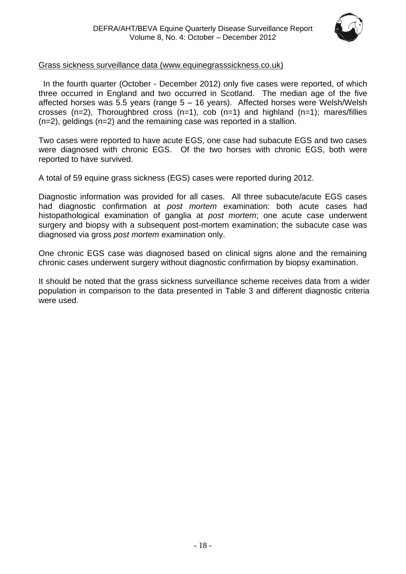

#### Grass sickness surveillance data [\(www.equinegrasssickness.co.uk\)](http://www.equinegrasssickness.co.uk/)

 In the fourth quarter (October - December 2012) only five cases were reported, of which three occurred in England and two occurred in Scotland. The median age of the five affected horses was 5.5 years (range 5 – 16 years). Affected horses were Welsh/Welsh crosses (n=2), Thoroughbred cross (n=1), cob (n=1) and highland (n=1); mares/fillies (n=2), geldings (n=2) and the remaining case was reported in a stallion.

Two cases were reported to have acute EGS, one case had subacute EGS and two cases were diagnosed with chronic EGS. Of the two horses with chronic EGS, both were reported to have survived.

A total of 59 equine grass sickness (EGS) cases were reported during 2012.

Diagnostic information was provided for all cases. All three subacute/acute EGS cases had diagnostic confirmation at *post mortem* examination: both acute cases had histopathological examination of ganglia at *post mortem*; one acute case underwent surgery and biopsy with a subsequent post-mortem examination; the subacute case was diagnosed via gross *post mortem* examination only.

One chronic EGS case was diagnosed based on clinical signs alone and the remaining chronic cases underwent surgery without diagnostic confirmation by biopsy examination.

It should be noted that the grass sickness surveillance scheme receives data from a wider population in comparison to the data presented in Table 3 and different diagnostic criteria were used.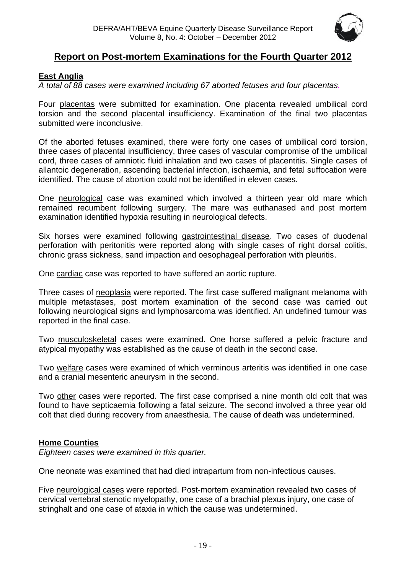

## **Report on Post-mortem Examinations for the Fourth Quarter 2012**

#### <span id="page-18-0"></span>**East Anglia**

*A total of 88 cases were examined including 67 aborted fetuses and four placentas.*

Four placentas were submitted for examination. One placenta revealed umbilical cord torsion and the second placental insufficiency. Examination of the final two placentas submitted were inconclusive.

Of the aborted fetuses examined, there were forty one cases of umbilical cord torsion, three cases of placental insufficiency, three cases of vascular compromise of the umbilical cord, three cases of amniotic fluid inhalation and two cases of placentitis. Single cases of allantoic degeneration, ascending bacterial infection, ischaemia, and fetal suffocation were identified. The cause of abortion could not be identified in eleven cases.

One neurological case was examined which involved a thirteen year old mare which remained recumbent following surgery. The mare was euthanased and post mortem examination identified hypoxia resulting in neurological defects.

Six horses were examined following gastrointestinal disease. Two cases of duodenal perforation with peritonitis were reported along with single cases of right dorsal colitis, chronic grass sickness, sand impaction and oesophageal perforation with pleuritis.

One cardiac case was reported to have suffered an aortic rupture.

Three cases of neoplasia were reported. The first case suffered malignant melanoma with multiple metastases, post mortem examination of the second case was carried out following neurological signs and lymphosarcoma was identified. An undefined tumour was reported in the final case.

Two musculoskeletal cases were examined. One horse suffered a pelvic fracture and atypical myopathy was established as the cause of death in the second case.

Two welfare cases were examined of which verminous arteritis was identified in one case and a cranial mesenteric aneurysm in the second.

Two other cases were reported. The first case comprised a nine month old colt that was found to have septicaemia following a fatal seizure. The second involved a three year old colt that died during recovery from anaesthesia. The cause of death was undetermined.

#### <span id="page-18-1"></span>**Home Counties**

*Eighteen cases were examined in this quarter.*

One neonate was examined that had died intrapartum from non-infectious causes.

Five neurological cases were reported. Post-mortem examination revealed two cases of cervical vertebral stenotic myelopathy, one case of a brachial plexus injury, one case of stringhalt and one case of ataxia in which the cause was undetermined.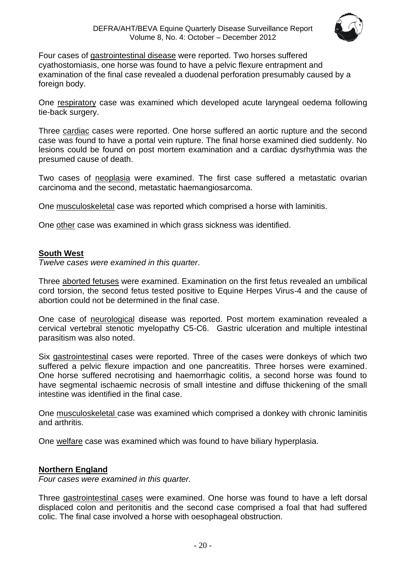

Four cases of gastrointestinal disease were reported. Two horses suffered cyathostomiasis, one horse was found to have a pelvic flexure entrapment and examination of the final case revealed a duodenal perforation presumably caused by a foreign body.

One respiratory case was examined which developed acute laryngeal oedema following tie-back surgery.

Three cardiac cases were reported. One horse suffered an aortic rupture and the second case was found to have a portal vein rupture. The final horse examined died suddenly. No lesions could be found on post mortem examination and a cardiac dysrhythmia was the presumed cause of death.

Two cases of neoplasia were examined. The first case suffered a metastatic ovarian carcinoma and the second, metastatic haemangiosarcoma.

One musculoskeletal case was reported which comprised a horse with laminitis.

One other case was examined in which grass sickness was identified.

#### <span id="page-19-0"></span>**South West**

*Twelve cases were examined in this quarter*.

Three aborted fetuses were examined. Examination on the first fetus revealed an umbilical cord torsion, the second fetus tested positive to Equine Herpes Virus-4 and the cause of abortion could not be determined in the final case.

One case of neurological disease was reported. Post mortem examination revealed a cervical vertebral stenotic myelopathy C5-C6. Gastric ulceration and multiple intestinal parasitism was also noted.

Six gastrointestinal cases were reported. Three of the cases were donkeys of which two suffered a pelvic flexure impaction and one pancreatitis. Three horses were examined. One horse suffered necrotising and haemorrhagic colitis, a second horse was found to have segmental ischaemic necrosis of small intestine and diffuse thickening of the small intestine was identified in the final case.

One musculoskeletal case was examined which comprised a donkey with chronic laminitis and arthritis.

One welfare case was examined which was found to have biliary hyperplasia.

#### <span id="page-19-1"></span>**Northern England**

*Four cases were examined in this quarter.*

Three gastrointestinal cases were examined. One horse was found to have a left dorsal displaced colon and peritonitis and the second case comprised a foal that had suffered colic. The final case involved a horse with oesophageal obstruction.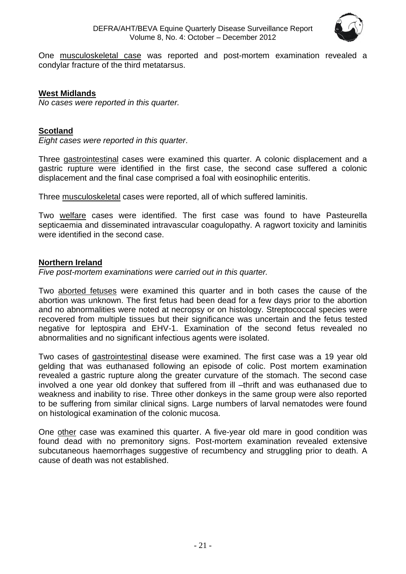

One musculoskeletal case was reported and post-mortem examination revealed a condylar fracture of the third metatarsus.

#### **West Midlands**

*No cases were reported in this quarter.*

#### <span id="page-20-0"></span>**Scotland**

*Eight cases were reported in this quarter*.

Three gastrointestinal cases were examined this quarter. A colonic displacement and a gastric rupture were identified in the first case, the second case suffered a colonic displacement and the final case comprised a foal with eosinophilic enteritis.

Three musculoskeletal cases were reported, all of which suffered laminitis.

Two welfare cases were identified. The first case was found to have Pasteurella septicaemia and disseminated intravascular coagulopathy. A ragwort toxicity and laminitis were identified in the second case.

#### <span id="page-20-1"></span>**Northern Ireland**

*Five post-mortem examinations were carried out in this quarter.*

Two aborted fetuses were examined this quarter and in both cases the cause of the abortion was unknown. The first fetus had been dead for a few days prior to the abortion and no abnormalities were noted at necropsy or on histology. Streptococcal species were recovered from multiple tissues but their significance was uncertain and the fetus tested negative for leptospira and EHV-1. Examination of the second fetus revealed no abnormalities and no significant infectious agents were isolated.

Two cases of gastrointestinal disease were examined. The first case was a 19 year old gelding that was euthanased following an episode of colic. Post mortem examination revealed a gastric rupture along the greater curvature of the stomach. The second case involved a one year old donkey that suffered from ill –thrift and was euthanased due to weakness and inability to rise. Three other donkeys in the same group were also reported to be suffering from similar clinical signs. Large numbers of larval nematodes were found on histological examination of the colonic mucosa.

One other case was examined this quarter. A five-year old mare in good condition was found dead with no premonitory signs. Post-mortem examination revealed extensive subcutaneous haemorrhages suggestive of recumbency and struggling prior to death. A cause of death was not established.